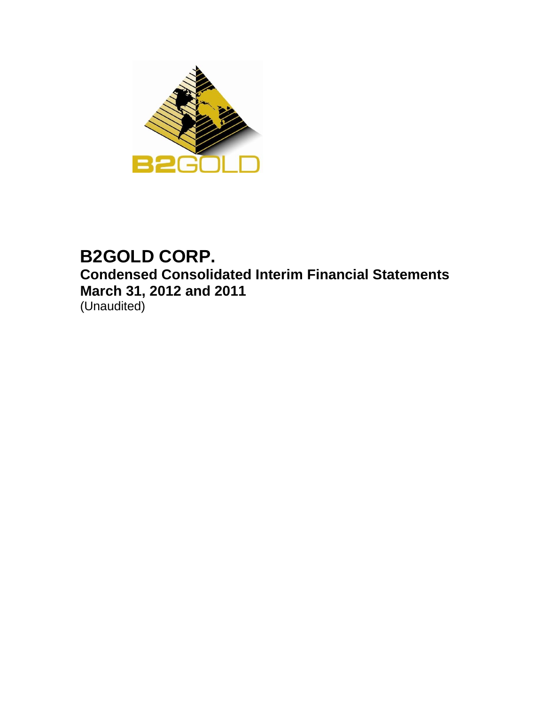

# **B2GOLD CORP. Condensed Consolidated Interim Financial Statements March 31, 2012 and 2011**  (Unaudited)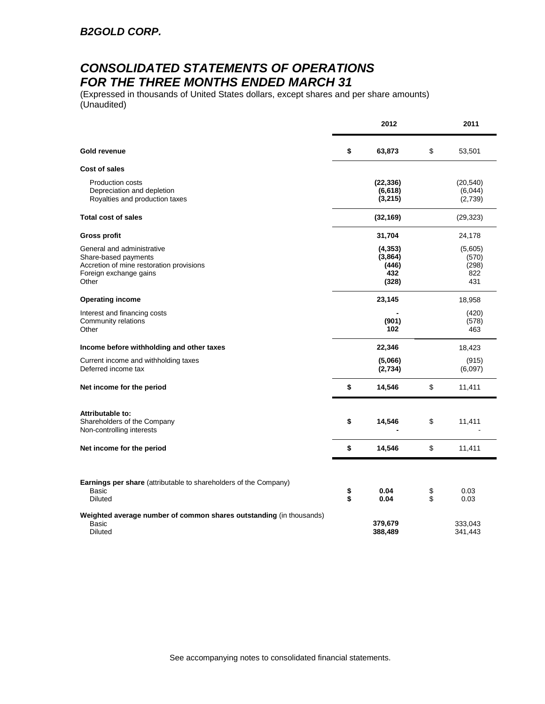## *CONSOLIDATED STATEMENTS OF OPERATIONS FOR THE THREE MONTHS ENDED MARCH 31*

(Expressed in thousands of United States dollars, except shares and per share amounts) (Unaudited)

|                                                                                                                                   |          | 2012                                         |          | 2011                                    |
|-----------------------------------------------------------------------------------------------------------------------------------|----------|----------------------------------------------|----------|-----------------------------------------|
| <b>Gold revenue</b>                                                                                                               | \$       | 63,873                                       | \$       | 53,501                                  |
| Cost of sales                                                                                                                     |          |                                              |          |                                         |
| <b>Production costs</b><br>Depreciation and depletion<br>Royalties and production taxes                                           |          | (22, 336)<br>(6, 618)<br>(3, 215)            |          | (20, 540)<br>(6,044)<br>(2,739)         |
| <b>Total cost of sales</b>                                                                                                        |          | (32, 169)                                    |          | (29, 323)                               |
| <b>Gross profit</b>                                                                                                               |          | 31,704                                       |          | 24,178                                  |
| General and administrative<br>Share-based payments<br>Accretion of mine restoration provisions<br>Foreign exchange gains<br>Other |          | (4, 353)<br>(3,864)<br>(446)<br>432<br>(328) |          | (5,605)<br>(570)<br>(298)<br>822<br>431 |
| <b>Operating income</b>                                                                                                           |          | 23,145                                       |          | 18,958                                  |
| Interest and financing costs<br>Community relations<br>Other                                                                      |          | (901)<br>102                                 |          | (420)<br>(578)<br>463                   |
| Income before withholding and other taxes                                                                                         |          | 22,346                                       |          | 18,423                                  |
| Current income and withholding taxes<br>Deferred income tax                                                                       |          | (5,066)<br>(2,734)                           |          | (915)<br>(6,097)                        |
| Net income for the period                                                                                                         | \$       | 14,546                                       | \$       | 11,411                                  |
| Attributable to:<br>Shareholders of the Company<br>Non-controlling interests                                                      | \$       | 14,546                                       | \$       | 11,411                                  |
| Net income for the period                                                                                                         | \$       | 14,546                                       | \$       | 11,411                                  |
| Earnings per share (attributable to shareholders of the Company)<br>Basic<br><b>Diluted</b>                                       | \$<br>\$ | 0.04<br>0.04                                 | \$<br>\$ | 0.03<br>0.03                            |
|                                                                                                                                   |          |                                              |          |                                         |
| Weighted average number of common shares outstanding (in thousands)<br>Basic<br><b>Diluted</b>                                    |          | 379,679<br>388,489                           |          | 333,043<br>341,443                      |

See accompanying notes to consolidated financial statements.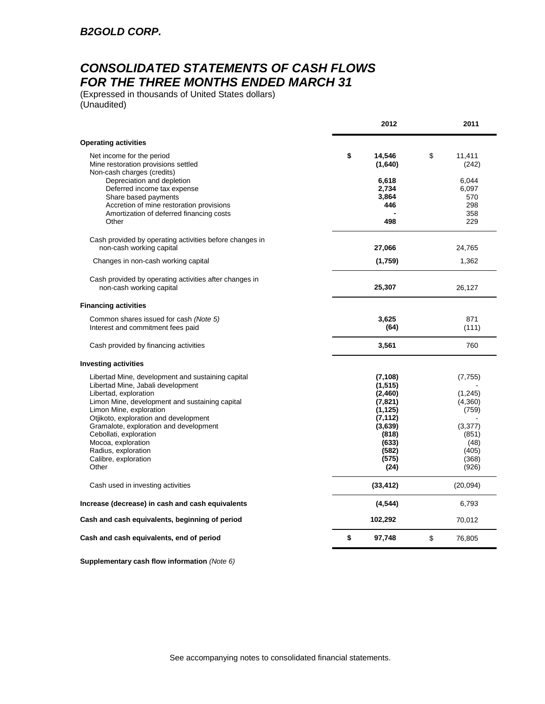## *CONSOLIDATED STATEMENTS OF CASH FLOWS FOR THE THREE MONTHS ENDED MARCH 31*

(Expressed in thousands of United States dollars) (Unaudited)

|                                                                                                                                                                                    | 2012                                                | 2011                                                 |
|------------------------------------------------------------------------------------------------------------------------------------------------------------------------------------|-----------------------------------------------------|------------------------------------------------------|
| <b>Operating activities</b>                                                                                                                                                        |                                                     |                                                      |
| Net income for the period<br>Mine restoration provisions settled<br>Non-cash charges (credits)                                                                                     | \$<br>14,546<br>(1,640)                             | \$<br>11,411<br>(242)                                |
| Depreciation and depletion<br>Deferred income tax expense<br>Share based payments<br>Accretion of mine restoration provisions<br>Amortization of deferred financing costs<br>Other | 6,618<br>2,734<br>3,864<br>446<br>498               | 6,044<br>6,097<br>570<br>298<br>358<br>229           |
| Cash provided by operating activities before changes in<br>non-cash working capital                                                                                                | 27,066                                              | 24,765                                               |
| Changes in non-cash working capital                                                                                                                                                | (1,759)                                             | 1,362                                                |
| Cash provided by operating activities after changes in<br>non-cash working capital                                                                                                 | 25,307                                              | 26,127                                               |
| <b>Financing activities</b>                                                                                                                                                        |                                                     |                                                      |
| Common shares issued for cash (Note 5)<br>Interest and commitment fees paid                                                                                                        | 3,625<br>(64)                                       | 871<br>(111)                                         |
| Cash provided by financing activities                                                                                                                                              | 3,561                                               | 760                                                  |
| <b>Investing activities</b>                                                                                                                                                        |                                                     |                                                      |
| Libertad Mine, development and sustaining capital<br>Libertad Mine, Jabali development                                                                                             | (7, 108)<br>(1, 515)                                | (7, 755)                                             |
| Libertad, exploration<br>Limon Mine, development and sustaining capital<br>Limon Mine, exploration<br>Otjikoto, exploration and development                                        | (2,460)<br>(7, 821)<br>(1, 125)<br>(7, 112)         | (1, 245)<br>(4,360)<br>(759)                         |
| Gramalote, exploration and development<br>Cebollati, exploration<br>Mocoa, exploration<br>Radius, exploration<br>Calibre, exploration<br>Other                                     | (3,639)<br>(818)<br>(633)<br>(582)<br>(575)<br>(24) | (3, 377)<br>(851)<br>(48)<br>(405)<br>(368)<br>(926) |
| Cash used in investing activities                                                                                                                                                  | (33, 412)                                           | (20,094)                                             |
| Increase (decrease) in cash and cash equivalents                                                                                                                                   | (4, 544)                                            | 6,793                                                |
| Cash and cash equivalents, beginning of period                                                                                                                                     | 102,292                                             | 70,012                                               |
| Cash and cash equivalents, end of period                                                                                                                                           | \$<br>97,748                                        | \$<br>76,805                                         |

**Supplementary cash flow information** *(Note 6)*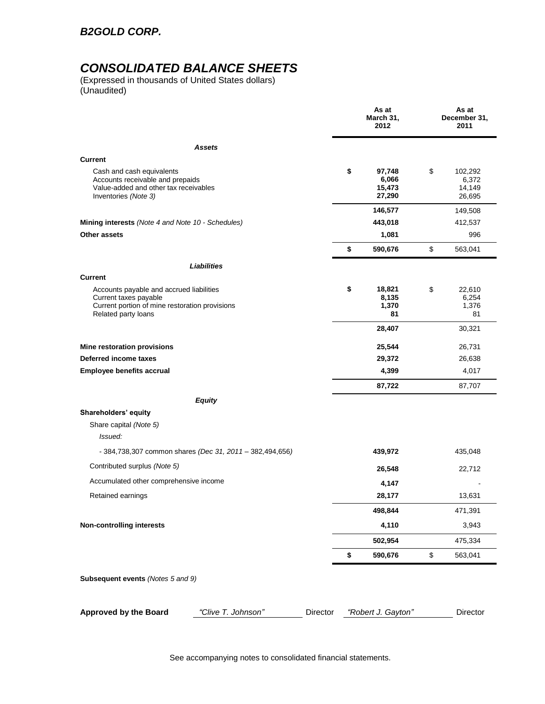### *B2GOLD CORP.*

## *CONSOLIDATED BALANCE SHEETS*

(Expressed in thousands of United States dollars) (Unaudited)

|                                                                                                                                            |          | As at<br>March 31,<br>2012                | As at<br>December 31,<br>2011              |
|--------------------------------------------------------------------------------------------------------------------------------------------|----------|-------------------------------------------|--------------------------------------------|
| <b>Assets</b>                                                                                                                              |          |                                           |                                            |
| <b>Current</b>                                                                                                                             |          |                                           |                                            |
| Cash and cash equivalents<br>Accounts receivable and prepaids<br>Value-added and other tax receivables<br>Inventories (Note 3)             |          | \$<br>97,748<br>6,066<br>15,473<br>27,290 | \$<br>102,292<br>6,372<br>14,149<br>26,695 |
|                                                                                                                                            |          | 146,577                                   | 149,508                                    |
| Mining interests (Note 4 and Note 10 - Schedules)                                                                                          |          | 443,018                                   | 412,537                                    |
| Other assets                                                                                                                               |          | 1,081                                     | 996                                        |
|                                                                                                                                            |          | \$<br>590,676                             | \$<br>563,041                              |
| <b>Liabilities</b>                                                                                                                         |          |                                           |                                            |
| <b>Current</b>                                                                                                                             |          |                                           |                                            |
| Accounts payable and accrued liabilities<br>Current taxes payable<br>Current portion of mine restoration provisions<br>Related party loans |          | \$<br>18,821<br>8,135<br>1,370<br>81      | \$<br>22,610<br>6,254<br>1,376<br>81       |
|                                                                                                                                            |          | 28,407                                    | 30,321                                     |
| Mine restoration provisions                                                                                                                |          | 25,544                                    | 26,731                                     |
| Deferred income taxes                                                                                                                      |          | 29,372                                    | 26,638                                     |
| <b>Employee benefits accrual</b>                                                                                                           |          | 4,399                                     | 4,017                                      |
|                                                                                                                                            |          | 87,722                                    | 87,707                                     |
| <b>Equity</b>                                                                                                                              |          |                                           |                                            |
| Shareholders' equity                                                                                                                       |          |                                           |                                            |
| Share capital (Note 5)                                                                                                                     |          |                                           |                                            |
| Issued:                                                                                                                                    |          |                                           |                                            |
| - 384,738,307 common shares (Dec 31, 2011 - 382,494,656)                                                                                   |          | 439,972                                   | 435,048                                    |
| Contributed surplus (Note 5)                                                                                                               |          | 26,548                                    | 22,712                                     |
| Accumulated other comprehensive income                                                                                                     |          | 4,147                                     |                                            |
| Retained earnings                                                                                                                          |          | 28,177                                    | 13,631                                     |
|                                                                                                                                            |          | 498,844                                   | 471,391                                    |
| <b>Non-controlling interests</b>                                                                                                           |          | 4,110                                     | 3,943                                      |
|                                                                                                                                            |          | 502,954                                   | 475,334                                    |
|                                                                                                                                            |          | \$<br>590,676                             | \$<br>563,041                              |
| Subsequent events (Notes 5 and 9)                                                                                                          |          |                                           |                                            |
| "Clive T. Johnson"<br><b>Approved by the Board</b>                                                                                         | Director | "Robert J. Gayton"                        | Director                                   |

See accompanying notes to consolidated financial statements.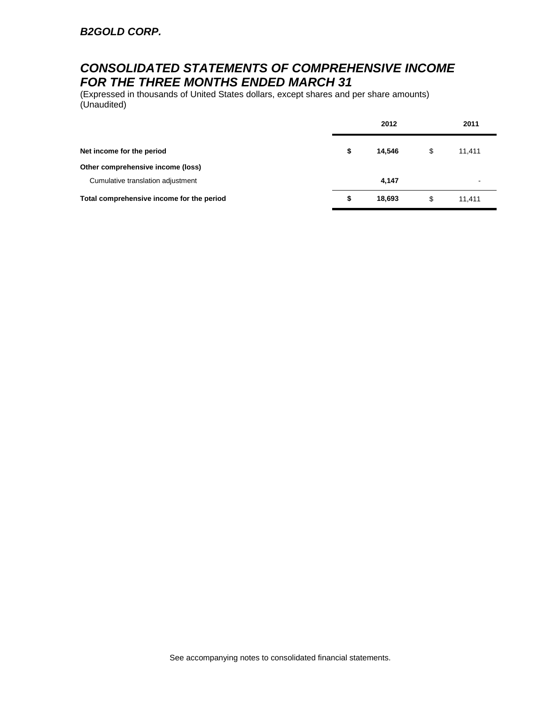## *CONSOLIDATED STATEMENTS OF COMPREHENSIVE INCOME FOR THE THREE MONTHS ENDED MARCH 31*

(Expressed in thousands of United States dollars, except shares and per share amounts) (Unaudited)

|                                           | 2012         | 2011         |  |
|-------------------------------------------|--------------|--------------|--|
| Net income for the period                 | \$<br>14,546 | \$<br>11,411 |  |
| Other comprehensive income (loss)         |              |              |  |
| Cumulative translation adjustment         | 4,147        |              |  |
| Total comprehensive income for the period | \$<br>18,693 | \$<br>11.411 |  |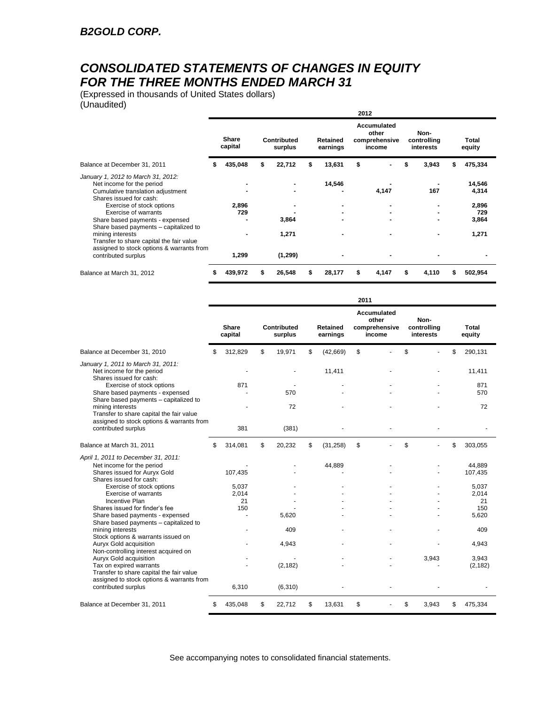## *CONSOLIDATED STATEMENTS OF CHANGES IN EQUITY FOR THE THREE MONTHS ENDED MARCH 31*

(Expressed in thousands of United States dollars) (Unaudited)

| Undudition                                                                                                                      |   |                         |   |                        |                             | 2012 |                                                        |                                  |   |                 |
|---------------------------------------------------------------------------------------------------------------------------------|---|-------------------------|---|------------------------|-----------------------------|------|--------------------------------------------------------|----------------------------------|---|-----------------|
|                                                                                                                                 |   | <b>Share</b><br>capital |   | Contributed<br>surplus | <b>Retained</b><br>earnings |      | <b>Accumulated</b><br>other<br>comprehensive<br>income | Non-<br>controlling<br>interests |   | Total<br>equity |
| Balance at December 31, 2011                                                                                                    |   | 435,048                 |   | 22,712                 | 13,631                      | \$   |                                                        | 3,943                            |   | 475,334         |
| January 1, 2012 to March 31, 2012:<br>Net income for the period<br>Cumulative translation adjustment<br>Shares issued for cash: |   |                         |   |                        | 14,546                      |      | 4,147                                                  | 167                              |   | 14,546<br>4,314 |
| Exercise of stock options<br>Exercise of warrants                                                                               |   | 2,896<br>729            |   |                        |                             |      |                                                        | ۰                                |   | 2,896<br>729    |
| Share based payments - expensed<br>Share based payments - capitalized to                                                        |   |                         |   | 3,864                  |                             |      |                                                        |                                  |   | 3,864           |
| mining interests<br>Transfer to share capital the fair value<br>assigned to stock options & warrants from                       |   |                         |   | 1,271                  |                             |      |                                                        | ٠                                |   | 1,271           |
| contributed surplus                                                                                                             |   | 1,299                   |   | (1, 299)               |                             |      |                                                        |                                  |   |                 |
| Balance at March 31, 2012                                                                                                       | 5 | 439,972                 | S | 26,548                 | 28,177                      | \$   | 4,147                                                  | \$<br>4,110                      | S | 502,954         |

|                                                                                                                                                                                                                                                                                                                                                                                                                                                                                                                                                                                                                   |    |                                                       |                                              |                      | 2011 |                                                 |                                  |                                                                                                |
|-------------------------------------------------------------------------------------------------------------------------------------------------------------------------------------------------------------------------------------------------------------------------------------------------------------------------------------------------------------------------------------------------------------------------------------------------------------------------------------------------------------------------------------------------------------------------------------------------------------------|----|-------------------------------------------------------|----------------------------------------------|----------------------|------|-------------------------------------------------|----------------------------------|------------------------------------------------------------------------------------------------|
|                                                                                                                                                                                                                                                                                                                                                                                                                                                                                                                                                                                                                   |    | <b>Share</b><br>capital                               | Contributed<br>surplus                       | Retained<br>earnings |      | Accumulated<br>other<br>comprehensive<br>income | Non-<br>controlling<br>interests | Total<br>equity                                                                                |
| Balance at December 31, 2010                                                                                                                                                                                                                                                                                                                                                                                                                                                                                                                                                                                      | S  | 312,829                                               | \$<br>19,971                                 | \$<br>(42,669)       | \$   |                                                 | \$                               | \$<br>290,131                                                                                  |
| January 1, 2011 to March 31, 2011:<br>Net income for the period<br>Shares issued for cash:                                                                                                                                                                                                                                                                                                                                                                                                                                                                                                                        |    |                                                       |                                              | 11.411               |      |                                                 |                                  | 11,411                                                                                         |
| Exercise of stock options<br>Share based payments - expensed<br>Share based payments - capitalized to                                                                                                                                                                                                                                                                                                                                                                                                                                                                                                             |    | 871                                                   | 570                                          |                      |      |                                                 |                                  | 871<br>570                                                                                     |
| mining interests<br>Transfer to share capital the fair value                                                                                                                                                                                                                                                                                                                                                                                                                                                                                                                                                      |    |                                                       | 72                                           |                      |      |                                                 |                                  | 72                                                                                             |
| assigned to stock options & warrants from<br>contributed surplus                                                                                                                                                                                                                                                                                                                                                                                                                                                                                                                                                  |    | 381                                                   | (381)                                        |                      |      |                                                 |                                  |                                                                                                |
| Balance at March 31, 2011                                                                                                                                                                                                                                                                                                                                                                                                                                                                                                                                                                                         | \$ | 314,081                                               | \$<br>20,232                                 | \$<br>(31, 258)      | \$   |                                                 | \$                               | \$<br>303,055                                                                                  |
| April 1, 2011 to December 31, 2011:<br>Net income for the period<br>Shares issued for Auryx Gold<br>Shares issued for cash:<br>Exercise of stock options<br>Exercise of warrants<br>Incentive Plan<br>Shares issued for finder's fee<br>Share based payments - expensed<br>Share based payments - capitalized to<br>mining interests<br>Stock options & warrants issued on<br>Auryx Gold acquisition<br>Non-controlling interest acquired on<br>Auryx Gold acquisition<br>Tax on expired warrants<br>Transfer to share capital the fair value<br>assigned to stock options & warrants from<br>contributed surplus |    | 107,435<br>5.037<br>2,014<br>21<br>150<br>÷.<br>6,310 | 5.620<br>409<br>4.943<br>(2, 182)<br>(6,310) | 44,889               |      |                                                 | 3,943                            | 44,889<br>107,435<br>5.037<br>2.014<br>21<br>150<br>5,620<br>409<br>4,943<br>3.943<br>(2, 182) |
| Balance at December 31, 2011                                                                                                                                                                                                                                                                                                                                                                                                                                                                                                                                                                                      | S  | 435,048                                               | \$<br>22,712                                 | \$<br>13.631         | \$   |                                                 | \$<br>3.943                      | \$<br>475,334                                                                                  |

See accompanying notes to consolidated financial statements.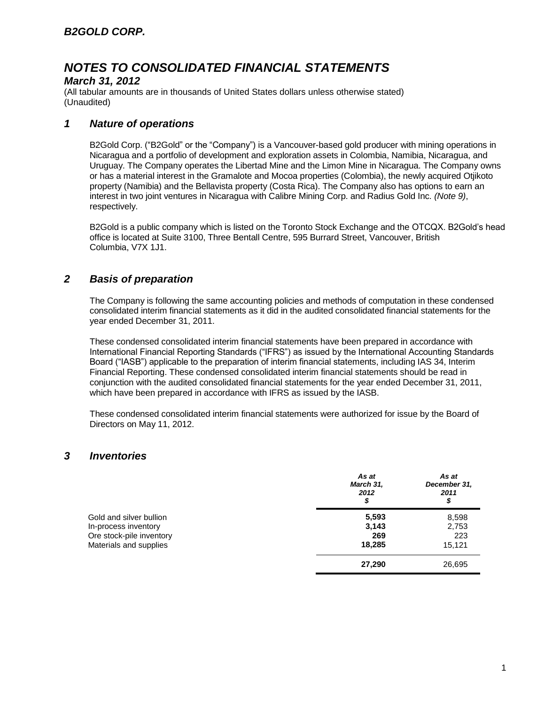### *March 31, 2012*

(All tabular amounts are in thousands of United States dollars unless otherwise stated) (Unaudited)

### *1 Nature of operations*

B2Gold Corp. ("B2Gold" or the "Company") is a Vancouver-based gold producer with mining operations in Nicaragua and a portfolio of development and exploration assets in Colombia, Namibia, Nicaragua, and Uruguay. The Company operates the Libertad Mine and the Limon Mine in Nicaragua. The Company owns or has a material interest in the Gramalote and Mocoa properties (Colombia), the newly acquired Otjikoto property (Namibia) and the Bellavista property (Costa Rica). The Company also has options to earn an interest in two joint ventures in Nicaragua with Calibre Mining Corp. and Radius Gold Inc*. (Note 9)*, respectively.

B2Gold is a public company which is listed on the Toronto Stock Exchange and the OTCQX. B2Gold's head office is located at Suite 3100, Three Bentall Centre, 595 Burrard Street, Vancouver, British Columbia, V7X 1J1.

### *2 Basis of preparation*

The Company is following the same accounting policies and methods of computation in these condensed consolidated interim financial statements as it did in the audited consolidated financial statements for the year ended December 31, 2011.

These condensed consolidated interim financial statements have been prepared in accordance with International Financial Reporting Standards ("IFRS") as issued by the International Accounting Standards Board ("IASB") applicable to the preparation of interim financial statements, including IAS 34, Interim Financial Reporting. These condensed consolidated interim financial statements should be read in conjunction with the audited consolidated financial statements for the year ended December 31, 2011, which have been prepared in accordance with IFRS as issued by the IASB.

These condensed consolidated interim financial statements were authorized for issue by the Board of Directors on May 11, 2012.

### *3 Inventories*

|                          | As at<br>March 31,<br>2012<br>\$ | As at<br>December 31,<br>2011<br>\$ |
|--------------------------|----------------------------------|-------------------------------------|
| Gold and silver bullion  | 5,593                            | 8,598                               |
| In-process inventory     | 3,143                            | 2,753                               |
| Ore stock-pile inventory | 269                              | 223                                 |
| Materials and supplies   | 18,285                           | 15.121                              |
|                          | 27,290                           | 26,695                              |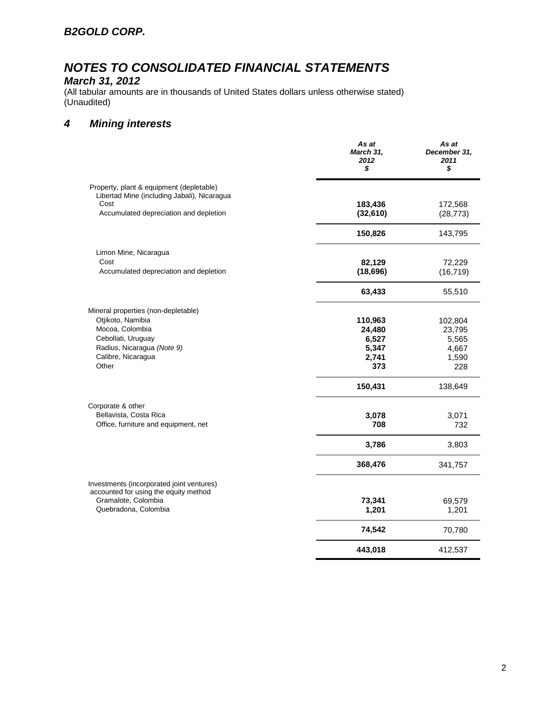### *B2GOLD CORP.*

# *NOTES TO CONSOLIDATED FINANCIAL STATEMENTS*

## *March 31, 2012*

(All tabular amounts are in thousands of United States dollars unless otherwise stated) (Unaudited)

### *4 Mining interests*

|                                                                                                                                                                | As at<br>March 31,<br>2012<br>\$                    | As at<br>December 31,<br>2011<br>\$                 |
|----------------------------------------------------------------------------------------------------------------------------------------------------------------|-----------------------------------------------------|-----------------------------------------------------|
| Property, plant & equipment (depletable)<br>Libertad Mine (including Jabali), Nicaragua<br>Cost<br>Accumulated depreciation and depletion                      | 183,436<br>(32, 610)                                | 172,568<br>(28, 773)                                |
|                                                                                                                                                                | 150,826                                             | 143,795                                             |
| Limon Mine, Nicaragua<br>Cost<br>Accumulated depreciation and depletion                                                                                        | 82,129<br>(18, 696)                                 | 72,229<br>(16, 719)                                 |
|                                                                                                                                                                | 63,433                                              | 55,510                                              |
| Mineral properties (non-depletable)<br>Otjikoto, Namibia<br>Mocoa, Colombia<br>Cebollati, Uruguay<br>Radius, Nicaragua (Note 9)<br>Calibre, Nicaragua<br>Other | 110,963<br>24,480<br>6,527<br>5,347<br>2,741<br>373 | 102,804<br>23,795<br>5,565<br>4,667<br>1,590<br>228 |
|                                                                                                                                                                | 150,431                                             | 138,649                                             |
| Corporate & other<br>Bellavista, Costa Rica<br>Office, furniture and equipment, net                                                                            | 3,078<br>708<br>3,786                               | 3,071<br>732<br>3,803                               |
|                                                                                                                                                                | 368,476                                             | 341,757                                             |
| Investments (incorporated joint ventures)<br>accounted for using the equity method<br>Gramalote, Colombia<br>Quebradona, Colombia                              | 73,341<br>1,201                                     | 69,579<br>1,201                                     |
|                                                                                                                                                                | 74,542                                              | 70,780                                              |
|                                                                                                                                                                | 443,018                                             | 412,537                                             |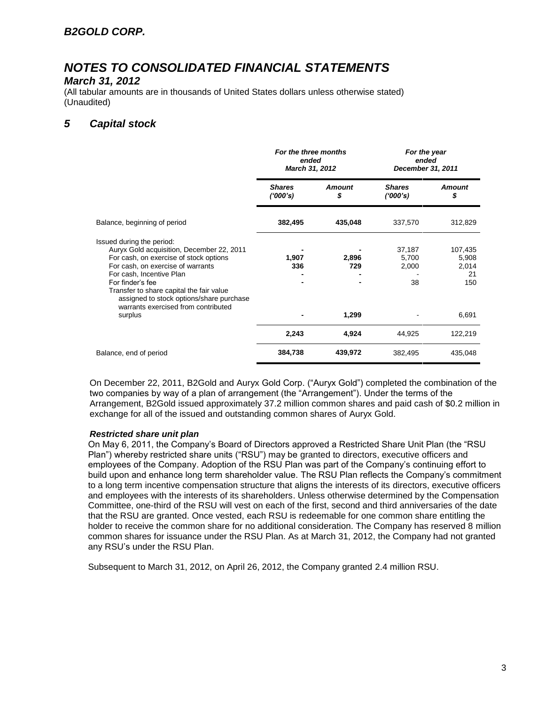#### *March 31, 2012*

(All tabular amounts are in thousands of United States dollars unless otherwise stated) (Unaudited)

### *5 Capital stock*

|                                                                                                                                                                                                                                                                                               | For the three months<br>ended<br>March 31, 2012 |                     | For the year<br>ended<br>December 31, 2011 |                                        |
|-----------------------------------------------------------------------------------------------------------------------------------------------------------------------------------------------------------------------------------------------------------------------------------------------|-------------------------------------------------|---------------------|--------------------------------------------|----------------------------------------|
|                                                                                                                                                                                                                                                                                               | <b>Shares</b><br>(1000's)                       | <b>Amount</b><br>\$ | <b>Shares</b><br>(1000's)                  | <b>Amount</b><br>\$                    |
| Balance, beginning of period                                                                                                                                                                                                                                                                  | 382,495                                         | 435,048             | 337,570                                    | 312,829                                |
| Issued during the period:<br>Auryx Gold acquisition, December 22, 2011<br>For cash, on exercise of stock options<br>For cash, on exercise of warrants<br>For cash, Incentive Plan<br>For finder's fee<br>Transfer to share capital the fair value<br>assigned to stock options/share purchase | 1,907<br>336                                    | 2,896<br>729        | 37,187<br>5,700<br>2,000<br>38             | 107,435<br>5,908<br>2,014<br>21<br>150 |
| warrants exercised from contributed<br>surplus                                                                                                                                                                                                                                                |                                                 | 1,299               |                                            | 6,691                                  |
|                                                                                                                                                                                                                                                                                               | 2,243                                           | 4,924               | 44,925                                     | 122,219                                |
| Balance, end of period                                                                                                                                                                                                                                                                        | 384,738                                         | 439,972             | 382,495                                    | 435,048                                |

On December 22, 2011, B2Gold and Auryx Gold Corp. ("Auryx Gold") completed the combination of the two companies by way of a plan of arrangement (the "Arrangement"). Under the terms of the Arrangement, B2Gold issued approximately 37.2 million common shares and paid cash of \$0.2 million in exchange for all of the issued and outstanding common shares of Auryx Gold.

#### *Restricted share unit plan*

On May 6, 2011, the Company's Board of Directors approved a Restricted Share Unit Plan (the "RSU Plan") whereby restricted share units ("RSU") may be granted to directors, executive officers and employees of the Company. Adoption of the RSU Plan was part of the Company's continuing effort to build upon and enhance long term shareholder value. The RSU Plan reflects the Company's commitment to a long term incentive compensation structure that aligns the interests of its directors, executive officers and employees with the interests of its shareholders. Unless otherwise determined by the Compensation Committee, one-third of the RSU will vest on each of the first, second and third anniversaries of the date that the RSU are granted. Once vested, each RSU is redeemable for one common share entitling the holder to receive the common share for no additional consideration. The Company has reserved 8 million common shares for issuance under the RSU Plan. As at March 31, 2012, the Company had not granted any RSU's under the RSU Plan.

Subsequent to March 31, 2012, on April 26, 2012, the Company granted 2.4 million RSU.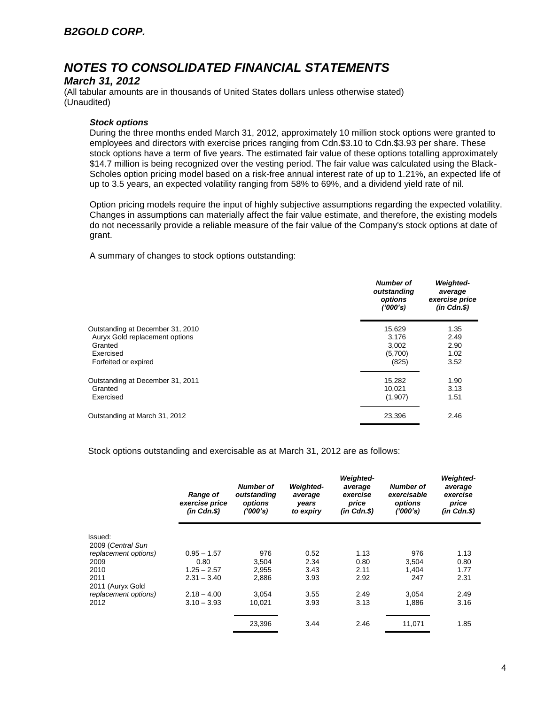### *March 31, 2012*

(All tabular amounts are in thousands of United States dollars unless otherwise stated) (Unaudited)

#### *Stock options*

During the three months ended March 31, 2012, approximately 10 million stock options were granted to employees and directors with exercise prices ranging from Cdn.\$3.10 to Cdn.\$3.93 per share. These stock options have a term of five years. The estimated fair value of these options totalling approximately \$14.7 million is being recognized over the vesting period. The fair value was calculated using the Black-Scholes option pricing model based on a risk-free annual interest rate of up to 1.21%, an expected life of up to 3.5 years, an expected volatility ranging from 58% to 69%, and a dividend yield rate of nil.

Option pricing models require the input of highly subjective assumptions regarding the expected volatility. Changes in assumptions can materially affect the fair value estimate, and therefore, the existing models do not necessarily provide a reliable measure of the fair value of the Company's stock options at date of grant.

A summary of changes to stock options outstanding:

|                                                                    | <b>Number of</b><br>outstanding<br>options<br>(1000's) | <b>Weighted-</b><br>average<br>exercise price<br>$(in$ $Cdn.S)$ |
|--------------------------------------------------------------------|--------------------------------------------------------|-----------------------------------------------------------------|
| Outstanding at December 31, 2010<br>Auryx Gold replacement options | 15,629<br>3,176                                        | 1.35<br>2.49                                                    |
| Granted                                                            | 3,002                                                  | 2.90                                                            |
| Exercised<br>Forfeited or expired                                  | (5,700)<br>(825)                                       | 1.02<br>3.52                                                    |
| Outstanding at December 31, 2011                                   | 15,282                                                 | 1.90                                                            |
| Granted<br>Exercised                                               | 10,021<br>(1,907)                                      | 3.13<br>1.51                                                    |
| Outstanding at March 31, 2012                                      | 23,396                                                 | 2.46                                                            |

Stock options outstanding and exercisable as at March 31, 2012 are as follows:

|                      | <b>Range of</b><br>exercise price<br>$(in$ $Cdn.S)$ | <b>Number of</b><br>outstanding<br>options<br>(1000's) | <b>Weighted-</b><br>average<br>years<br>to expiry | <b>Weighted-</b><br>average<br>exercise<br>price<br>$(in$ $Cdn.S)$ | Number of<br>exercisable<br>options<br>(1000's) | <b>Weighted-</b><br>average<br>exercise<br>price<br>$(in$ $Cdn.S)$ |
|----------------------|-----------------------------------------------------|--------------------------------------------------------|---------------------------------------------------|--------------------------------------------------------------------|-------------------------------------------------|--------------------------------------------------------------------|
| Issued:              |                                                     |                                                        |                                                   |                                                                    |                                                 |                                                                    |
| 2009 (Central Sun    |                                                     |                                                        |                                                   |                                                                    |                                                 |                                                                    |
| replacement options) | $0.95 - 1.57$                                       | 976                                                    | 0.52                                              | 1.13                                                               | 976                                             | 1.13                                                               |
| 2009                 | 0.80                                                | 3,504                                                  | 2.34                                              | 0.80                                                               | 3.504                                           | 0.80                                                               |
| 2010                 | $1.25 - 2.57$                                       | 2,955                                                  | 3.43                                              | 2.11                                                               | 1,404                                           | 1.77                                                               |
| 2011                 | $2.31 - 3.40$                                       | 2,886                                                  | 3.93                                              | 2.92                                                               | 247                                             | 2.31                                                               |
| 2011 (Auryx Gold     |                                                     |                                                        |                                                   |                                                                    |                                                 |                                                                    |
| replacement options) | $2.18 - 4.00$                                       | 3.054                                                  | 3.55                                              | 2.49                                                               | 3.054                                           | 2.49                                                               |
| 2012                 | $3.10 - 3.93$                                       | 10.021                                                 | 3.93                                              | 3.13                                                               | 1,886                                           | 3.16                                                               |
|                      |                                                     | 23,396                                                 | 3.44                                              | 2.46                                                               | 11,071                                          | 1.85                                                               |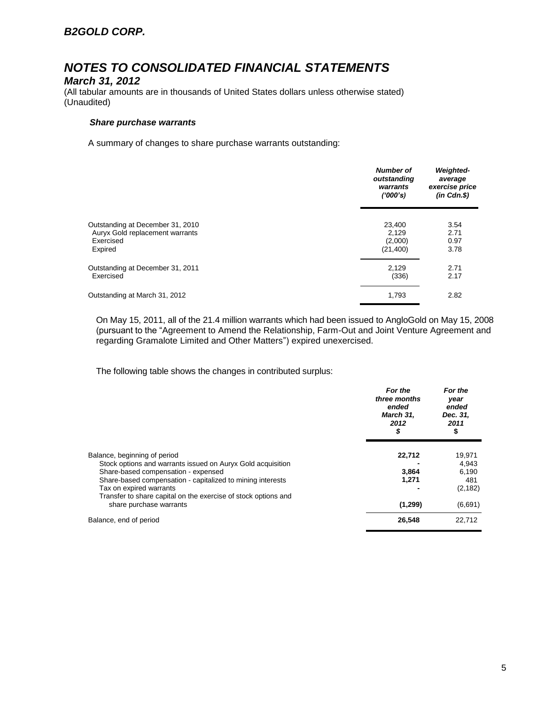#### *March 31, 2012*

(All tabular amounts are in thousands of United States dollars unless otherwise stated) (Unaudited)

#### *Share purchase warrants*

A summary of changes to share purchase warrants outstanding:

|                                  | <b>Number of</b><br>outstanding<br>warrants<br>(1000's) | <b>Weighted-</b><br>average<br>exercise price<br>$(in$ $Cdn.S)$ |
|----------------------------------|---------------------------------------------------------|-----------------------------------------------------------------|
| Outstanding at December 31, 2010 | 23,400                                                  | 3.54                                                            |
| Auryx Gold replacement warrants  | 2.129                                                   | 2.71                                                            |
| Exercised                        | (2,000)                                                 | 0.97                                                            |
| Expired                          | (21, 400)                                               | 3.78                                                            |
| Outstanding at December 31, 2011 | 2.129                                                   | 2.71                                                            |
| Exercised                        | (336)                                                   | 2.17                                                            |
| Outstanding at March 31, 2012    | 1,793                                                   | 2.82                                                            |

On May 15, 2011, all of the 21.4 million warrants which had been issued to AngloGold on May 15, 2008 (pursuant to the "Agreement to Amend the Relationship, Farm-Out and Joint Venture Agreement and regarding Gramalote Limited and Other Matters") expired unexercised.

The following table shows the changes in contributed surplus:

|                                                                                           | For the<br>three months<br>ended<br>March 31,<br>2012<br>S | For the<br>year<br>ended<br>Dec. 31,<br>2011<br>\$ |
|-------------------------------------------------------------------------------------------|------------------------------------------------------------|----------------------------------------------------|
| Balance, beginning of period                                                              | 22,712                                                     | 19,971                                             |
| Stock options and warrants issued on Auryx Gold acquisition                               |                                                            | 4.943                                              |
| Share-based compensation - expensed                                                       | 3,864                                                      | 6,190                                              |
| Share-based compensation - capitalized to mining interests                                | 1,271                                                      | 481                                                |
| Tax on expired warrants<br>Transfer to share capital on the exercise of stock options and |                                                            | (2, 182)                                           |
| share purchase warrants                                                                   | (1, 299)                                                   | (6,691)                                            |
| Balance, end of period                                                                    | 26,548                                                     | 22.712                                             |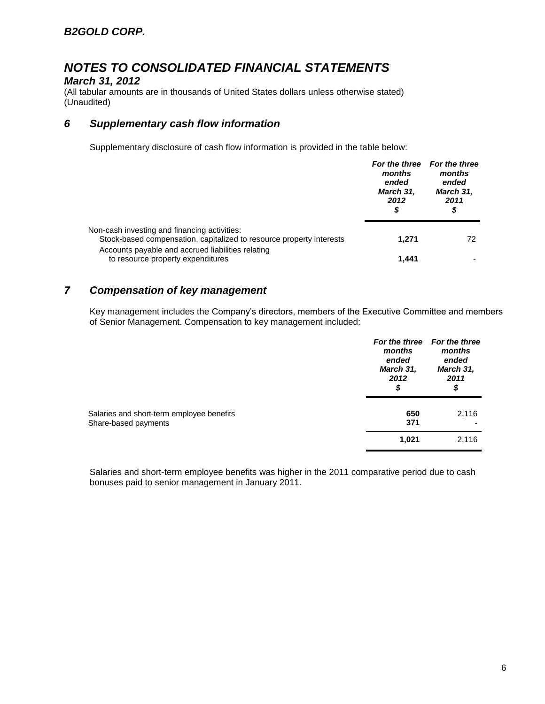### *March 31, 2012*

(All tabular amounts are in thousands of United States dollars unless otherwise stated) (Unaudited)

### *6 Supplementary cash flow information*

Supplementary disclosure of cash flow information is provided in the table below:

|                                                                                                                      | months<br>ended<br>March 31,<br>2012<br>S | For the three For the three<br>months<br>ended<br>March 31,<br>2011<br>\$ |
|----------------------------------------------------------------------------------------------------------------------|-------------------------------------------|---------------------------------------------------------------------------|
| Non-cash investing and financing activities:<br>Stock-based compensation, capitalized to resource property interests | 1.271                                     | 72                                                                        |
| Accounts payable and accrued liabilities relating<br>to resource property expenditures                               | 1.441                                     |                                                                           |

### *7 Compensation of key management*

Key management includes the Company's directors, members of the Executive Committee and members of Senior Management. Compensation to key management included:

|                                                                   | months<br>ended<br>March 31,<br>2012<br>\$ | For the three For the three<br>months<br>ended<br>March 31,<br>2011<br>\$ |
|-------------------------------------------------------------------|--------------------------------------------|---------------------------------------------------------------------------|
| Salaries and short-term employee benefits<br>Share-based payments | 650<br>371                                 | 2,116                                                                     |
|                                                                   | 1,021                                      | 2,116                                                                     |

Salaries and short-term employee benefits was higher in the 2011 comparative period due to cash bonuses paid to senior management in January 2011.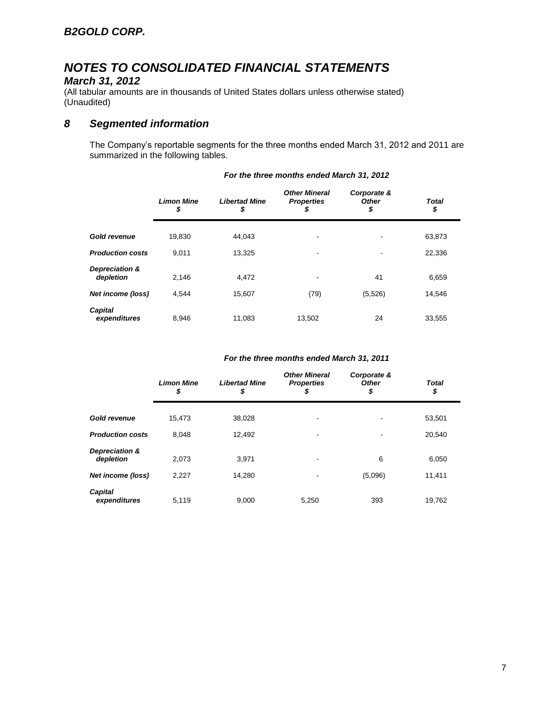### *March 31, 2012*

(All tabular amounts are in thousands of United States dollars unless otherwise stated) (Unaudited)

### *8 Segmented information*

The Company's reportable segments for the three months ended March 31, 2012 and 2011 are summarized in the following tables.

|                             | <b>Limon Mine</b><br>\$ | <b>Libertad Mine</b><br>\$ | <b>Other Mineral</b><br><b>Properties</b><br>S | Corporate &<br><b>Other</b><br>\$ | <b>Total</b><br>\$ |
|-----------------------------|-------------------------|----------------------------|------------------------------------------------|-----------------------------------|--------------------|
| <b>Gold revenue</b>         | 19.830                  | 44.043                     | ۰                                              |                                   | 63,873             |
| <b>Production costs</b>     | 9.011                   | 13.325                     | ۰                                              |                                   | 22,336             |
| Depreciation &<br>depletion | 2.146                   | 4,472                      |                                                | 41                                | 6,659              |
| <b>Net income (loss)</b>    | 4.544                   | 15.607                     | (79)                                           | (5,526)                           | 14,546             |
| Capital<br>expenditures     | 8.946                   | 11.083                     | 13.502                                         | 24                                | 33.555             |

#### *For the three months ended March 31, 2012*

#### *For the three months ended March 31, 2011*

|                             | <b>Limon Mine</b><br>\$ | <b>Libertad Mine</b><br>\$ | <b>Other Mineral</b><br><b>Properties</b><br>\$ | Corporate &<br><b>Other</b><br>\$ | <b>Total</b><br>\$ |  |
|-----------------------------|-------------------------|----------------------------|-------------------------------------------------|-----------------------------------|--------------------|--|
| <b>Gold revenue</b>         | 15,473                  | 38,028                     |                                                 |                                   | 53,501             |  |
| <b>Production costs</b>     | 8,048                   | 12,492                     |                                                 |                                   | 20,540             |  |
| Depreciation &<br>depletion | 2,073                   | 3,971                      |                                                 | 6                                 | 6,050              |  |
| Net income (loss)           | 2,227                   | 14.280                     |                                                 | (5,096)                           | 11,411             |  |
| Capital<br>expenditures     | 5,119                   | 9,000                      | 5,250                                           | 393                               | 19,762             |  |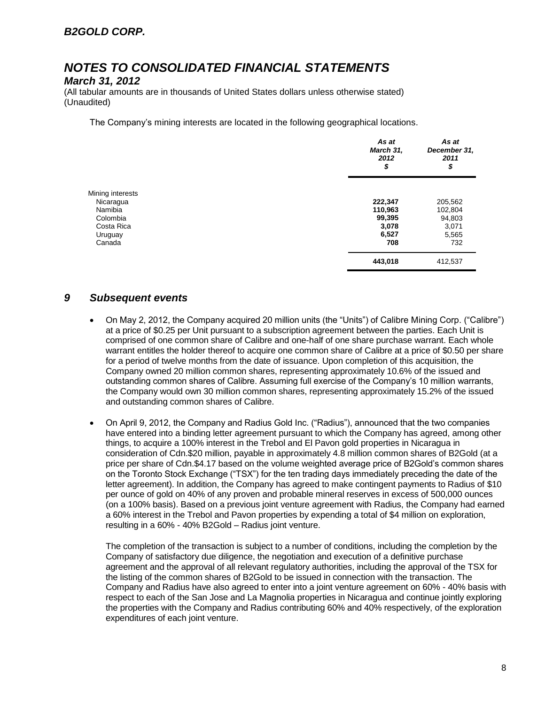#### *March 31, 2012*

(All tabular amounts are in thousands of United States dollars unless otherwise stated) (Unaudited)

The Company's mining interests are located in the following geographical locations.

|                  | As at<br>March 31,<br>2012<br>\$ | As at<br>December 31,<br>2011<br>\$ |
|------------------|----------------------------------|-------------------------------------|
| Mining interests |                                  |                                     |
| Nicaragua        | 222,347                          | 205,562                             |
| Namibia          | 110,963                          | 102,804                             |
| Colombia         | 99,395                           | 94,803                              |
| Costa Rica       | 3,078                            | 3,071                               |
| Uruguay          | 6,527                            | 5,565                               |
| Canada           | 708                              | 732                                 |
|                  | 443,018                          | 412,537                             |

### *9 Subsequent events*

- On May 2, 2012, the Company acquired 20 million units (the "Units") of Calibre Mining Corp. ("Calibre") at a price of \$0.25 per Unit pursuant to a subscription agreement between the parties. Each Unit is comprised of one common share of Calibre and one-half of one share purchase warrant. Each whole warrant entitles the holder thereof to acquire one common share of Calibre at a price of \$0.50 per share for a period of twelve months from the date of issuance. Upon completion of this acquisition, the Company owned 20 million common shares, representing approximately 10.6% of the issued and outstanding common shares of Calibre. Assuming full exercise of the Company's 10 million warrants, the Company would own 30 million common shares, representing approximately 15.2% of the issued and outstanding common shares of Calibre.
- On April 9, 2012, the Company and Radius Gold Inc. ("Radius"), announced that the two companies have entered into a binding letter agreement pursuant to which the Company has agreed, among other things, to acquire a 100% interest in the Trebol and El Pavon gold properties in Nicaragua in consideration of Cdn.\$20 million, payable in approximately 4.8 million common shares of B2Gold (at a price per share of Cdn.\$4.17 based on the volume weighted average price of B2Gold's common shares on the Toronto Stock Exchange ("TSX") for the ten trading days immediately preceding the date of the letter agreement). In addition, the Company has agreed to make contingent payments to Radius of \$10 per ounce of gold on 40% of any proven and probable mineral reserves in excess of 500,000 ounces (on a 100% basis). Based on a previous joint venture agreement with Radius, the Company had earned a 60% interest in the Trebol and Pavon properties by expending a total of \$4 million on exploration, resulting in a 60% - 40% B2Gold – Radius joint venture.

The completion of the transaction is subject to a number of conditions, including the completion by the Company of satisfactory due diligence, the negotiation and execution of a definitive purchase agreement and the approval of all relevant regulatory authorities, including the approval of the TSX for the listing of the common shares of B2Gold to be issued in connection with the transaction. The Company and Radius have also agreed to enter into a joint venture agreement on 60% - 40% basis with respect to each of the San Jose and La Magnolia properties in Nicaragua and continue jointly exploring the properties with the Company and Radius contributing 60% and 40% respectively, of the exploration expenditures of each joint venture.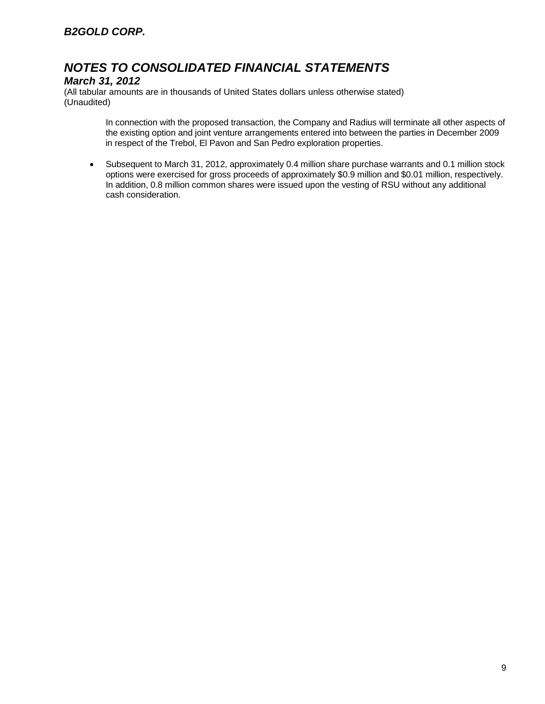### *March 31, 2012*

(All tabular amounts are in thousands of United States dollars unless otherwise stated) (Unaudited)

> In connection with the proposed transaction, the Company and Radius will terminate all other aspects of the existing option and joint venture arrangements entered into between the parties in December 2009 in respect of the Trebol, El Pavon and San Pedro exploration properties.

 Subsequent to March 31, 2012, approximately 0.4 million share purchase warrants and 0.1 million stock options were exercised for gross proceeds of approximately \$0.9 million and \$0.01 million, respectively. In addition, 0.8 million common shares were issued upon the vesting of RSU without any additional cash consideration.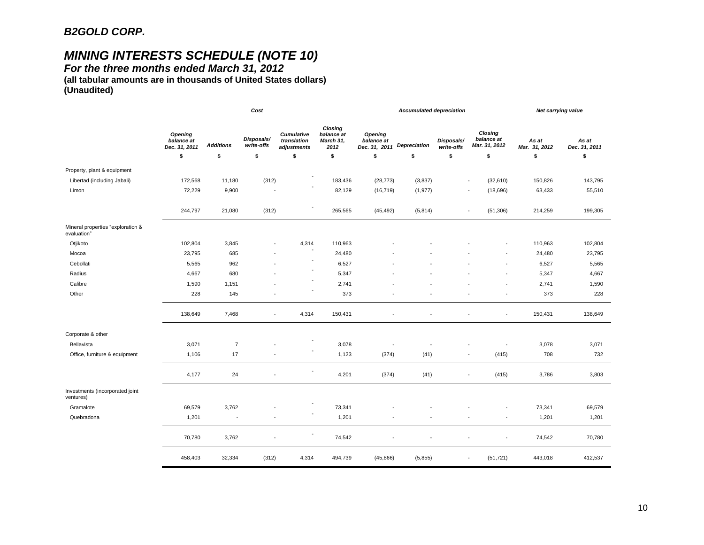# *MINING INTERESTS SCHEDULE (NOTE 10)*

*For the three months ended March 31, 2012* 

**(all tabular amounts are in thousands of United States dollars) (Unaudited)**

|                                                  | Cost                                   |                          |                          |                                          |                                            | <b>Accumulated depreciation</b>                     |                          |                          |                                        | Net carrying value     |                        |
|--------------------------------------------------|----------------------------------------|--------------------------|--------------------------|------------------------------------------|--------------------------------------------|-----------------------------------------------------|--------------------------|--------------------------|----------------------------------------|------------------------|------------------------|
|                                                  | Opening<br>balance at<br>Dec. 31, 2011 | <b>Additions</b>         | Disposals/<br>write-offs | Cumulative<br>translation<br>adjustments | Closing<br>balance at<br>March 31,<br>2012 | Opening<br>balance at<br>Dec. 31, 2011 Depreciation |                          | Disposals/<br>write-offs | Closing<br>balance at<br>Mar. 31, 2012 | As at<br>Mar. 31, 2012 | As at<br>Dec. 31, 2011 |
|                                                  | \$                                     | \$                       | \$                       | \$                                       | \$                                         | \$                                                  | \$                       | \$                       | \$                                     | \$                     | \$                     |
| Property, plant & equipment                      |                                        |                          |                          |                                          |                                            |                                                     |                          |                          |                                        |                        |                        |
| Libertad (including Jabali)                      | 172,568                                | 11,180                   | (312)                    |                                          | 183,436                                    | (28, 773)                                           | (3,837)                  |                          | (32, 610)<br>$\overline{\phantom{a}}$  | 150,826                | 143,795                |
| Limon                                            | 72,229                                 | 9,900                    | $\overline{\phantom{a}}$ |                                          | 82,129                                     | (16, 719)                                           | (1, 977)                 |                          | (18, 696)<br>$\overline{\phantom{a}}$  | 63,433                 | 55,510                 |
|                                                  | 244,797                                | 21,080                   | (312)                    |                                          | 265,565                                    | (45, 492)                                           | (5,814)                  |                          | (51, 306)<br>$\overline{\phantom{a}}$  | 214,259                | 199,305                |
| Mineral properties "exploration &<br>evaluation" |                                        |                          |                          |                                          |                                            |                                                     |                          |                          |                                        |                        |                        |
| Otjikoto                                         | 102,804                                | 3,845                    |                          | 4,314                                    | 110,963                                    |                                                     |                          |                          |                                        | 110,963                | 102,804                |
| Mocoa                                            | 23,795                                 | 685                      |                          |                                          | 24,480                                     |                                                     |                          |                          |                                        | 24,480                 | 23,795                 |
| Cebollati                                        | 5,565                                  | 962                      |                          |                                          | 6,527                                      |                                                     |                          |                          |                                        | 6,527                  | 5,565                  |
| Radius                                           | 4,667                                  | 680                      |                          |                                          | 5,347                                      |                                                     |                          |                          | ÷,                                     | 5,347                  | 4,667                  |
| Calibre                                          | 1,590                                  | 1,151                    |                          |                                          | 2,741                                      |                                                     |                          |                          | $\blacksquare$                         | 2,741                  | 1,590                  |
| Other                                            | 228                                    | 145                      |                          |                                          | 373                                        |                                                     |                          |                          | $\overline{\phantom{a}}$               | 373                    | 228                    |
|                                                  | 138,649                                | 7,468                    | $\blacksquare$           | 4,314                                    | 150,431                                    |                                                     |                          |                          | $\overline{\phantom{a}}$               | 150,431                | 138,649                |
| Corporate & other                                |                                        |                          |                          |                                          |                                            |                                                     |                          |                          |                                        |                        |                        |
| Bellavista                                       | 3,071                                  | $\overline{7}$           |                          |                                          | 3,078                                      |                                                     |                          |                          | ٠                                      | 3,078                  | 3,071                  |
| Office, furniture & equipment                    | 1,106                                  | 17                       |                          |                                          | 1,123                                      | (374)                                               | (41)                     |                          | (415)<br>$\overline{\phantom{a}}$      | 708                    | 732                    |
|                                                  | 4,177                                  | 24                       | $\blacksquare$           |                                          | 4,201                                      | (374)                                               | (41)                     |                          | (415)<br>$\overline{\phantom{a}}$      | 3,786                  | 3,803                  |
| Investments (incorporated joint<br>ventures)     |                                        |                          |                          |                                          |                                            |                                                     |                          |                          |                                        |                        |                        |
| Gramalote                                        | 69,579                                 | 3,762                    |                          |                                          | 73,341                                     |                                                     |                          |                          |                                        | 73,341                 | 69,579                 |
| Quebradona                                       | 1,201                                  | $\overline{\phantom{a}}$ |                          |                                          | 1,201                                      |                                                     |                          |                          | ÷                                      | 1,201                  | 1,201                  |
|                                                  | 70,780                                 | 3,762                    | $\overline{\phantom{a}}$ |                                          | 74,542                                     |                                                     | $\overline{\phantom{a}}$ |                          | ÷,<br>$\overline{\phantom{a}}$         | 74,542                 | 70,780                 |
|                                                  | 458,403                                | 32,334                   | (312)                    | 4,314                                    | 494,739                                    | (45,866)                                            | (5, 855)                 |                          | (51, 721)<br>$\overline{\phantom{a}}$  | 443,018                | 412,537                |